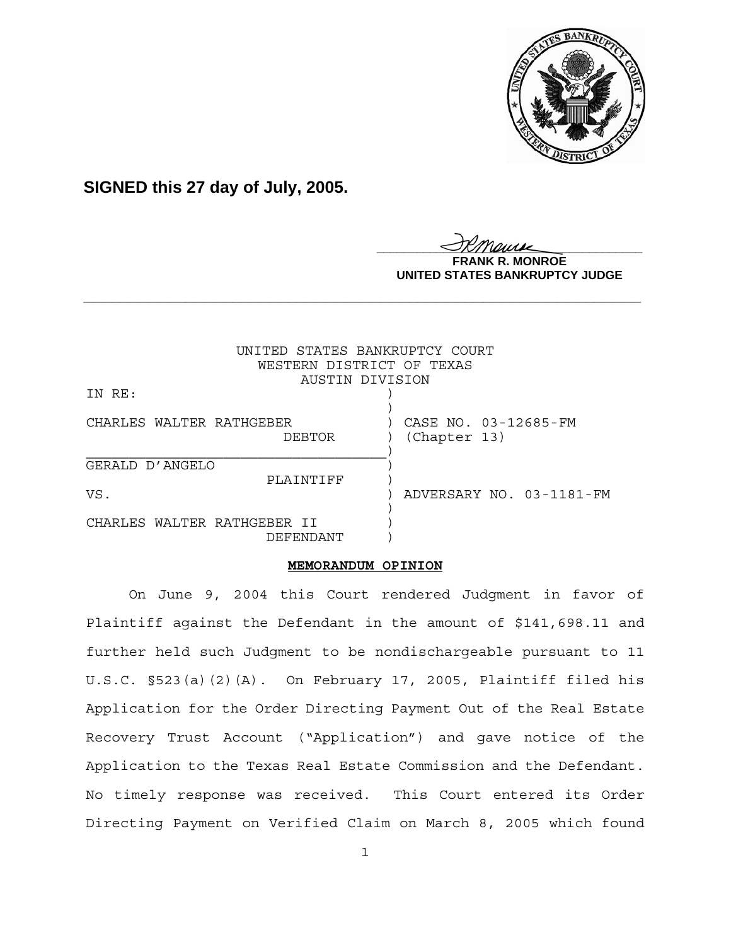

**SIGNED this 27 day of July, 2005.**

<u>IKThemse</u>

**NROE UNITED STATES BANKRUPTCY JUDGE**

|                                          | UNITED STATES BANKRUPTCY COURT<br>WESTERN DISTRICT OF TEXAS<br>AUSTIN DIVISION |
|------------------------------------------|--------------------------------------------------------------------------------|
| IN RE:                                   |                                                                                |
| CHARLES WALTER RATHGEBER<br>DEBTOR       | CASE NO. 03-12685-FM<br>(Chapter 13)                                           |
| GERALD D'ANGELO                          |                                                                                |
| PLAINTIFF                                |                                                                                |
| VS.                                      | ADVERSARY NO. 03-1181-FM                                                       |
| CHARLES WALTER RATHGEBER II<br>DEFENDANT |                                                                                |

**\_\_\_\_\_\_\_\_\_\_\_\_\_\_\_\_\_\_\_\_\_\_\_\_\_\_\_\_\_\_\_\_\_\_\_\_\_\_\_\_\_\_\_\_\_\_\_\_\_\_\_\_\_\_\_\_\_\_\_\_**

## **MEMORANDUM OPINION**

On June 9, 2004 this Court rendered Judgment in favor of Plaintiff against the Defendant in the amount of \$141,698.11 and further held such Judgment to be nondischargeable pursuant to 11 U.S.C. §523(a)(2)(A). On February 17, 2005, Plaintiff filed his Application for the Order Directing Payment Out of the Real Estate Recovery Trust Account ("Application") and gave notice of the Application to the Texas Real Estate Commission and the Defendant. No timely response was received. This Court entered its Order Directing Payment on Verified Claim on March 8, 2005 which found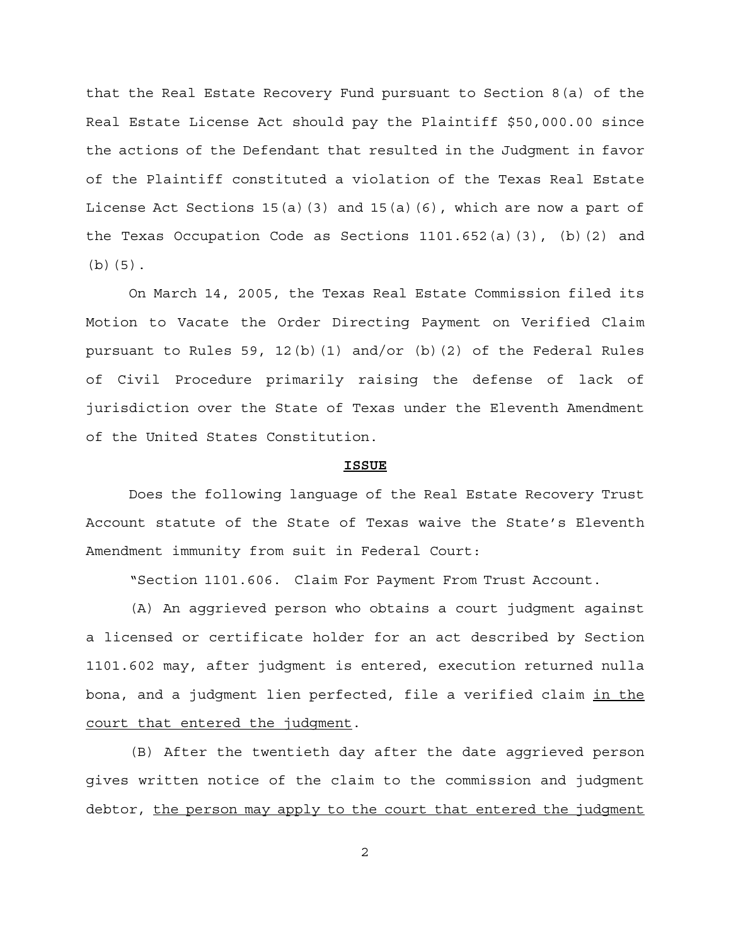that the Real Estate Recovery Fund pursuant to Section 8(a) of the Real Estate License Act should pay the Plaintiff \$50,000.00 since the actions of the Defendant that resulted in the Judgment in favor of the Plaintiff constituted a violation of the Texas Real Estate License Act Sections  $15(a)(3)$  and  $15(a)(6)$ , which are now a part of the Texas Occupation Code as Sections  $1101.652(a)(3)$ , (b)(2) and (b)(5).

On March 14, 2005, the Texas Real Estate Commission filed its Motion to Vacate the Order Directing Payment on Verified Claim pursuant to Rules 59, 12(b)(1) and/or (b)(2) of the Federal Rules of Civil Procedure primarily raising the defense of lack of jurisdiction over the State of Texas under the Eleventh Amendment of the United States Constitution.

## **ISSUE**

Does the following language of the Real Estate Recovery Trust Account statute of the State of Texas waive the State's Eleventh Amendment immunity from suit in Federal Court:

"Section 1101.606. Claim For Payment From Trust Account.

(A) An aggrieved person who obtains a court judgment against a licensed or certificate holder for an act described by Section 1101.602 may, after judgment is entered, execution returned nulla bona, and a judgment lien perfected, file a verified claim in the court that entered the judgment.

(B) After the twentieth day after the date aggrieved person gives written notice of the claim to the commission and judgment debtor, the person may apply to the court that entered the judgment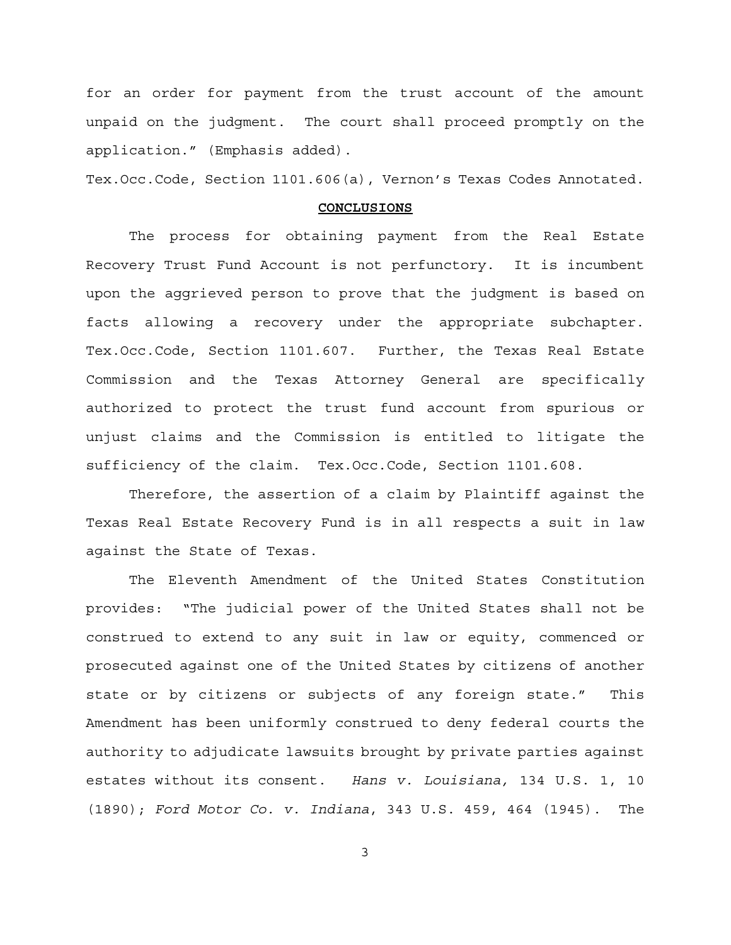for an order for payment from the trust account of the amount unpaid on the judgment. The court shall proceed promptly on the application." (Emphasis added).

Tex.Occ.Code, Section 1101.606(a), Vernon's Texas Codes Annotated.

## **CONCLUSIONS**

The process for obtaining payment from the Real Estate Recovery Trust Fund Account is not perfunctory. It is incumbent upon the aggrieved person to prove that the judgment is based on facts allowing a recovery under the appropriate subchapter. Tex.Occ.Code, Section 1101.607. Further, the Texas Real Estate Commission and the Texas Attorney General are specifically authorized to protect the trust fund account from spurious or unjust claims and the Commission is entitled to litigate the sufficiency of the claim. Tex.Occ.Code, Section 1101.608.

Therefore, the assertion of a claim by Plaintiff against the Texas Real Estate Recovery Fund is in all respects a suit in law against the State of Texas.

The Eleventh Amendment of the United States Constitution provides: "The judicial power of the United States shall not be construed to extend to any suit in law or equity, commenced or prosecuted against one of the United States by citizens of another state or by citizens or subjects of any foreign state." This Amendment has been uniformly construed to deny federal courts the authority to adjudicate lawsuits brought by private parties against estates without its consent. *Hans v. Louisiana,* 134 U.S. 1, 10 (1890); *Ford Motor Co. v. Indiana*, 343 U.S. 459, 464 (1945). The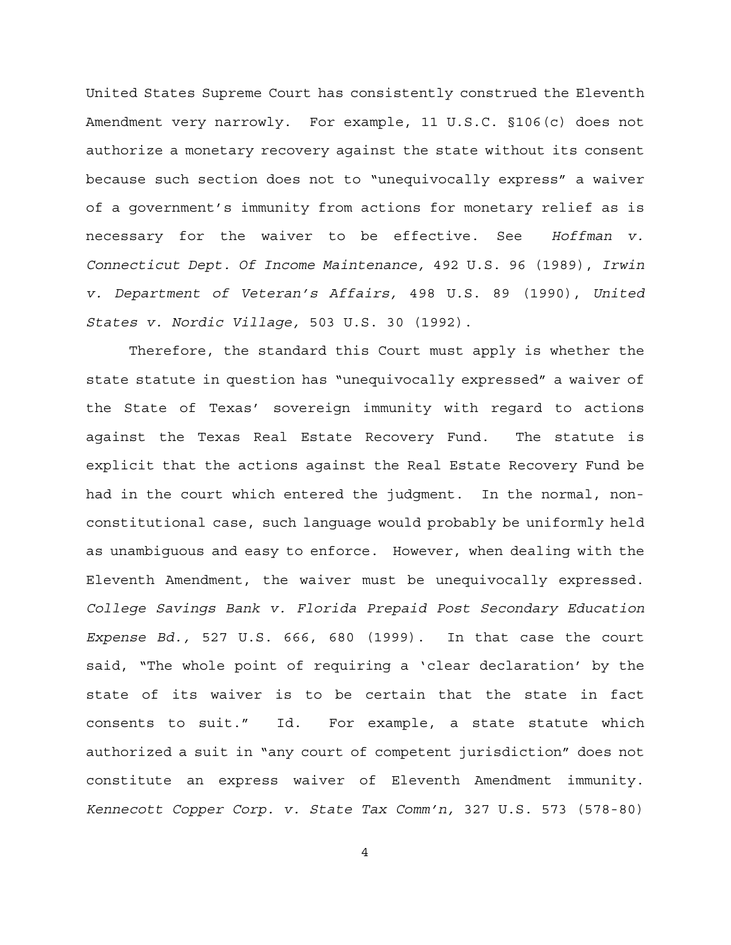United States Supreme Court has consistently construed the Eleventh Amendment very narrowly. For example, 11 U.S.C. §106(c) does not authorize a monetary recovery against the state without its consent because such section does not to "unequivocally express" a waiver of a government's immunity from actions for monetary relief as is necessary for the waiver to be effective. See *Hoffman v. Connecticut Dept. Of Income Maintenance,* 492 U.S. 96 (1989), *Irwin v. Department of Veteran's Affairs,* 498 U.S. 89 (1990), *United States v. Nordic Village,* 503 U.S. 30 (1992).

Therefore, the standard this Court must apply is whether the state statute in question has "unequivocally expressed" a waiver of the State of Texas' sovereign immunity with regard to actions against the Texas Real Estate Recovery Fund. The statute is explicit that the actions against the Real Estate Recovery Fund be had in the court which entered the judgment. In the normal, nonconstitutional case, such language would probably be uniformly held as unambiguous and easy to enforce. However, when dealing with the Eleventh Amendment, the waiver must be unequivocally expressed. *College Savings Bank v. Florida Prepaid Post Secondary Education Expense Bd.,* 527 U.S. 666, 680 (1999). In that case the court said, "The whole point of requiring a 'clear declaration' by the state of its waiver is to be certain that the state in fact consents to suit." Id. For example, a state statute which authorized a suit in "any court of competent jurisdiction" does not constitute an express waiver of Eleventh Amendment immunity. *Kennecott Copper Corp. v. State Tax Comm'n,* 327 U.S. 573 (578-80)